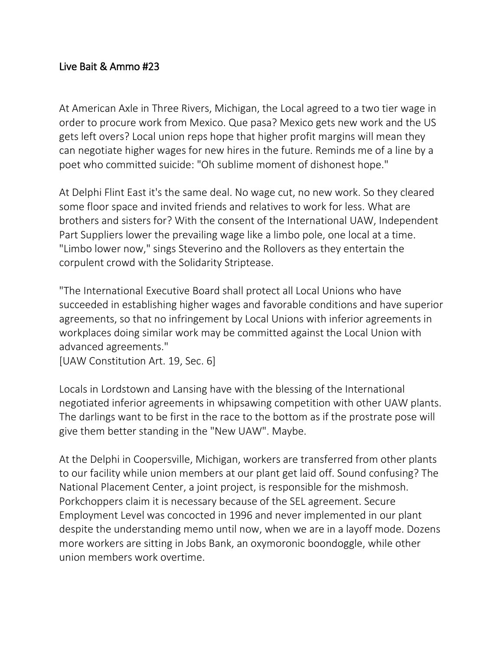## Live Bait & Ammo #23

At American Axle in Three Rivers, Michigan, the Local agreed to a two tier wage in order to procure work from Mexico. Que pasa? Mexico gets new work and the US gets left overs? Local union reps hope that higher profit margins will mean they can negotiate higher wages for new hires in the future. Reminds me of a line by a poet who committed suicide: "Oh sublime moment of dishonest hope."

At Delphi Flint East it's the same deal. No wage cut, no new work. So they cleared some floor space and invited friends and relatives to work for less. What are brothers and sisters for? With the consent of the International UAW, Independent Part Suppliers lower the prevailing wage like a limbo pole, one local at a time. "Limbo lower now," sings Steverino and the Rollovers as they entertain the corpulent crowd with the Solidarity Striptease.

"The International Executive Board shall protect all Local Unions who have succeeded in establishing higher wages and favorable conditions and have superior agreements, so that no infringement by Local Unions with inferior agreements in workplaces doing similar work may be committed against the Local Union with advanced agreements."

[UAW Constitution Art. 19, Sec. 6]

Locals in Lordstown and Lansing have with the blessing of the International negotiated inferior agreements in whipsawing competition with other UAW plants. The darlings want to be first in the race to the bottom as if the prostrate pose will give them better standing in the "New UAW". Maybe.

At the Delphi in Coopersville, Michigan, workers are transferred from other plants to our facility while union members at our plant get laid off. Sound confusing? The National Placement Center, a joint project, is responsible for the mishmosh. Porkchoppers claim it is necessary because of the SEL agreement. Secure Employment Level was concocted in 1996 and never implemented in our plant despite the understanding memo until now, when we are in a layoff mode. Dozens more workers are sitting in Jobs Bank, an oxymoronic boondoggle, while other union members work overtime.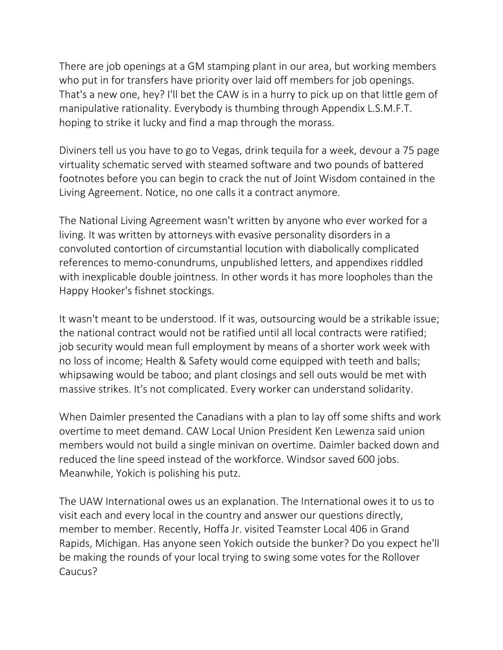There are job openings at a GM stamping plant in our area, but working members who put in for transfers have priority over laid off members for job openings. That's a new one, hey? I'll bet the CAW is in a hurry to pick up on that little gem of manipulative rationality. Everybody is thumbing through Appendix L.S.M.F.T. hoping to strike it lucky and find a map through the morass.

Diviners tell us you have to go to Vegas, drink tequila for a week, devour a 75 page virtuality schematic served with steamed software and two pounds of battered footnotes before you can begin to crack the nut of Joint Wisdom contained in the Living Agreement. Notice, no one calls it a contract anymore.

The National Living Agreement wasn't written by anyone who ever worked for a living. It was written by attorneys with evasive personality disorders in a convoluted contortion of circumstantial locution with diabolically complicated references to memo-conundrums, unpublished letters, and appendixes riddled with inexplicable double jointness. In other words it has more loopholes than the Happy Hooker's fishnet stockings.

It wasn't meant to be understood. If it was, outsourcing would be a strikable issue; the national contract would not be ratified until all local contracts were ratified; job security would mean full employment by means of a shorter work week with no loss of income; Health & Safety would come equipped with teeth and balls; whipsawing would be taboo; and plant closings and sell outs would be met with massive strikes. It's not complicated. Every worker can understand solidarity.

When Daimler presented the Canadians with a plan to lay off some shifts and work overtime to meet demand. CAW Local Union President Ken Lewenza said union members would not build a single minivan on overtime. Daimler backed down and reduced the line speed instead of the workforce. Windsor saved 600 jobs. Meanwhile, Yokich is polishing his putz.

The UAW International owes us an explanation. The International owes it to us to visit each and every local in the country and answer our questions directly, member to member. Recently, Hoffa Jr. visited Teamster Local 406 in Grand Rapids, Michigan. Has anyone seen Yokich outside the bunker? Do you expect he'll be making the rounds of your local trying to swing some votes for the Rollover Caucus?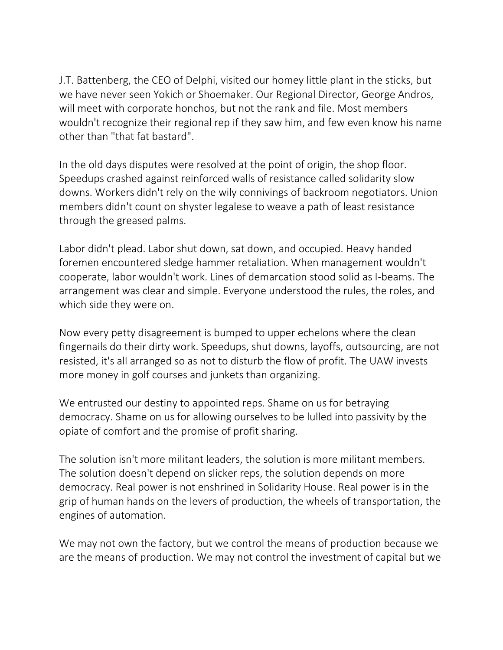J.T. Battenberg, the CEO of Delphi, visited our homey little plant in the sticks, but we have never seen Yokich or Shoemaker. Our Regional Director, George Andros, will meet with corporate honchos, but not the rank and file. Most members wouldn't recognize their regional rep if they saw him, and few even know his name other than "that fat bastard".

In the old days disputes were resolved at the point of origin, the shop floor. Speedups crashed against reinforced walls of resistance called solidarity slow downs. Workers didn't rely on the wily connivings of backroom negotiators. Union members didn't count on shyster legalese to weave a path of least resistance through the greased palms.

Labor didn't plead. Labor shut down, sat down, and occupied. Heavy handed foremen encountered sledge hammer retaliation. When management wouldn't cooperate, labor wouldn't work. Lines of demarcation stood solid as I-beams. The arrangement was clear and simple. Everyone understood the rules, the roles, and which side they were on.

Now every petty disagreement is bumped to upper echelons where the clean fingernails do their dirty work. Speedups, shut downs, layoffs, outsourcing, are not resisted, it's all arranged so as not to disturb the flow of profit. The UAW invests more money in golf courses and junkets than organizing.

We entrusted our destiny to appointed reps. Shame on us for betraying democracy. Shame on us for allowing ourselves to be lulled into passivity by the opiate of comfort and the promise of profit sharing.

The solution isn't more militant leaders, the solution is more militant members. The solution doesn't depend on slicker reps, the solution depends on more democracy. Real power is not enshrined in Solidarity House. Real power is in the grip of human hands on the levers of production, the wheels of transportation, the engines of automation.

We may not own the factory, but we control the means of production because we are the means of production. We may not control the investment of capital but we